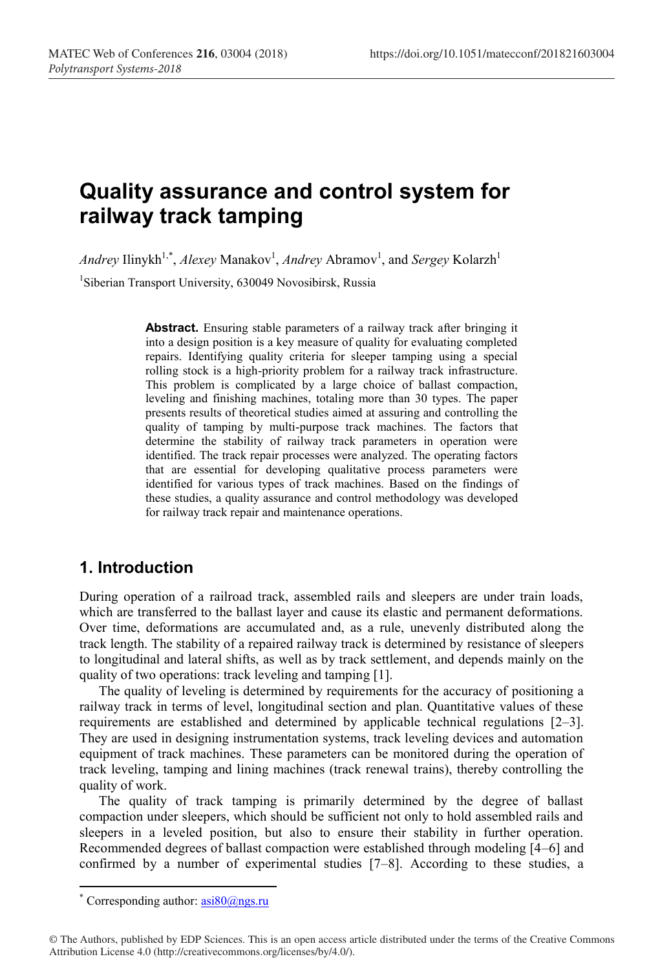# **Quality assurance and control system for railway track tamping**

 $Andrey \, \text{Ilinykh}^{1,*}, \textit{Alexey} \, \text{Manakov}^1, \textit{Andrew} \, \text{Abramov}^1, \text{and} \, \textit{Sergey} \, \text{Kolarzh}^1$ <sup>1</sup>Siberian Transport University, 630049 Novosibirsk, Russia

> **Abstract.** Ensuring stable parameters of a railway track after bringing it into a design position is a key measure of quality for evaluating completed repairs. Identifying quality criteria for sleeper tamping using a special rolling stock is a high-priority problem for a railway track infrastructure. This problem is complicated by a large choice of ballast compaction, leveling and finishing machines, totaling more than 30 types. The paper presents results of theoretical studies aimed at assuring and controlling the quality of tamping by multi-purpose track machines. The factors that determine the stability of railway track parameters in operation were identified. The track repair processes were analyzed. The operating factors that are essential for developing qualitative process parameters were identified for various types of track machines. Based on the findings of these studies, a quality assurance and control methodology was developed for railway track repair and maintenance operations.

## **1. Introduction**

During operation of a railroad track, assembled rails and sleepers are under train loads, which are transferred to the ballast layer and cause its elastic and permanent deformations. Over time, deformations are accumulated and, as a rule, unevenly distributed along the track length. The stability of a repaired railway track is determined by resistance of sleepers to longitudinal and lateral shifts, as well as by track settlement, and depends mainly on the quality of two operations: track leveling and tamping [1].

The quality of leveling is determined by requirements for the accuracy of positioning a railway track in terms of level, longitudinal section and plan. Quantitative values of these requirements are established and determined by applicable technical regulations [2–3]. They are used in designing instrumentation systems, track leveling devices and automation equipment of track machines. These parameters can be monitored during the operation of track leveling, tamping and lining machines (track renewal trains), thereby controlling the quality of work.

The quality of track tamping is primarily determined by the degree of ballast compaction under sleepers, which should be sufficient not only to hold assembled rails and sleepers in a leveled position, but also to ensure their stability in further operation. Recommended degrees of ballast compaction were established through modeling [4–6] and confirmed by a number of experimental studies [7–8]. According to these studies, a

**.** 

<sup>\*</sup> Corresponding author:  $a$ si $80$ @ngs.ru

<sup>©</sup> The Authors, published by EDP Sciences. This is an open access article distributed under the terms of the Creative Commons Attribution License 4.0 (http://creativecommons.org/licenses/by/4.0/).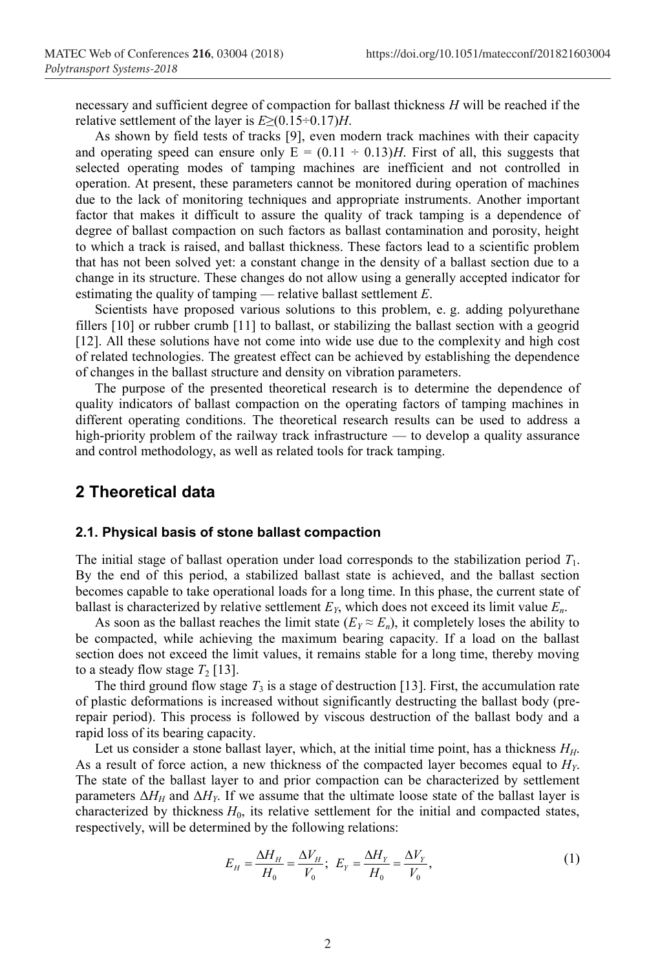necessary and sufficient degree of compaction for ballast thickness *H* will be reached if the relative settlement of the layer is *E*≥(0.15÷0.17)*H*.

As shown by field tests of tracks [9], even modern track machines with their capacity and operating speed can ensure only  $E = (0.11 \div 0.13)H$ . First of all, this suggests that selected operating modes of tamping machines are inefficient and not controlled in operation. At present, these parameters cannot be monitored during operation of machines due to the lack of monitoring techniques and appropriate instruments. Another important factor that makes it difficult to assure the quality of track tamping is a dependence of degree of ballast compaction on such factors as ballast contamination and porosity, height to which a track is raised, and ballast thickness. These factors lead to a scientific problem that has not been solved yet: a constant change in the density of a ballast section due to a change in its structure. These changes do not allow using a generally accepted indicator for estimating the quality of tamping — relative ballast settlement *E*.

Scientists have proposed various solutions to this problem, e. g. adding polyurethane fillers [10] or rubber crumb [11] to ballast, or stabilizing the ballast section with a geogrid [12]. All these solutions have not come into wide use due to the complexity and high cost of related technologies. The greatest effect can be achieved by establishing the dependence of changes in the ballast structure and density on vibration parameters.

The purpose of the presented theoretical research is to determine the dependence of quality indicators of ballast compaction on the operating factors of tamping machines in different operating conditions. The theoretical research results can be used to address a high-priority problem of the railway track infrastructure — to develop a quality assurance and control methodology, as well as related tools for track tamping.

### **2 Theoretical data**

#### **2.1. Physical basis of stone ballast compaction**

The initial stage of ballast operation under load corresponds to the stabilization period *T*1. By the end of this period, a stabilized ballast state is achieved, and the ballast section becomes capable to take operational loads for a long time. In this phase, the current state of ballast is characterized by relative settlement  $E<sub>Y</sub>$ , which does not exceed its limit value  $E<sub>n</sub>$ .

As soon as the ballast reaches the limit state  $(E_Y \approx E_n)$ , it completely loses the ability to be compacted, while achieving the maximum bearing capacity. If a load on the ballast section does not exceed the limit values, it remains stable for a long time, thereby moving to a steady flow stage  $T_2$  [13].

The third ground flow stage  $T_3$  is a stage of destruction [13]. First, the accumulation rate of plastic deformations is increased without significantly destructing the ballast body (prerepair period). This process is followed by viscous destruction of the ballast body and a rapid loss of its bearing capacity.

Let us consider a stone ballast layer, which, at the initial time point, has a thickness *HH*. As a result of force action, a new thickness of the compacted layer becomes equal to *HY*. The state of the ballast layer to and prior compaction can be characterized by settlement parameters  $\Delta H_H$  and  $\Delta H_Y$ . If we assume that the ultimate loose state of the ballast layer is characterized by thickness *H*0, its relative settlement for the initial and compacted states, respectively, will be determined by the following relations:

$$
E_H = \frac{\Delta H_H}{H_0} = \frac{\Delta V_H}{V_0}; \ E_Y = \frac{\Delta H_Y}{H_0} = \frac{\Delta V_Y}{V_0}, \tag{1}
$$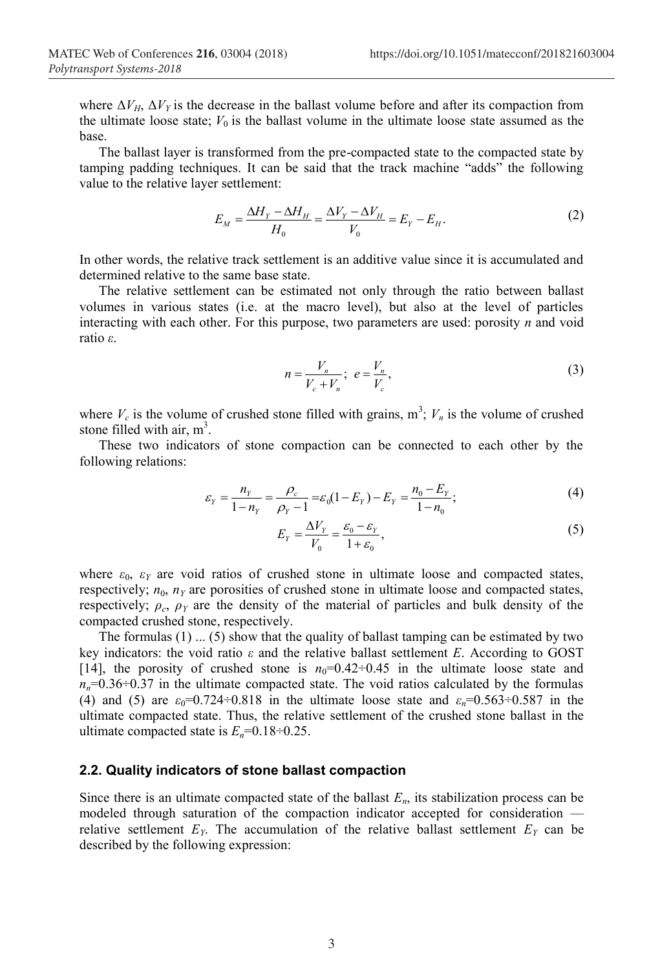where  $\Delta V_H$ ,  $\Delta V_Y$  is the decrease in the ballast volume before and after its compaction from the ultimate loose state;  $V_0$  is the ballast volume in the ultimate loose state assumed as the base.

The ballast layer is transformed from the pre-compacted state to the compacted state by tamping padding techniques. It can be said that the track machine "adds" the following value to the relative layer settlement:

$$
E_M = \frac{\Delta H_Y - \Delta H_H}{H_0} = \frac{\Delta V_Y - \Delta V_H}{V_0} = E_Y - E_H.
$$
 (2)

In other words, the relative track settlement is an additive value since it is accumulated and determined relative to the same base state.

The relative settlement can be estimated not only through the ratio between ballast volumes in various states (i.e. at the macro level), but also at the level of particles interacting with each other. For this purpose, two parameters are used: porosity *n* and void ratio *ε*.

$$
n = \frac{V_n}{V_c + V_n}; \ e = \frac{V_n}{V_c}, \tag{3}
$$

where  $V_c$  is the volume of crushed stone filled with grains,  $m^3$ ;  $V_n$  is the volume of crushed stone filled with air,  $m^3$ .

These two indicators of stone compaction can be connected to each other by the following relations:

$$
\varepsilon_{Y} = \frac{n_{Y}}{1 - n_{Y}} = \frac{\rho_{c}}{\rho_{Y} - 1} = \varepsilon_{0}(1 - E_{Y}) - E_{Y} = \frac{n_{0} - E_{Y}}{1 - n_{0}};
$$
\n(4)

$$
E_{Y} = \frac{\Delta V_{Y}}{V_{0}} = \frac{\varepsilon_{0} - \varepsilon_{Y}}{1 + \varepsilon_{0}},
$$
\n(5)

where  $\varepsilon_0$ ,  $\varepsilon_Y$  are void ratios of crushed stone in ultimate loose and compacted states, respectively;  $n_0$ ,  $n<sub>Y</sub>$  are porosities of crushed stone in ultimate loose and compacted states, respectively;  $\rho_c$ ,  $\rho_{\gamma}$  are the density of the material of particles and bulk density of the compacted crushed stone, respectively.

The formulas  $(1)$  ...  $(5)$  show that the quality of ballast tamping can be estimated by two key indicators: the void ratio  $\varepsilon$  and the relative ballast settlement *E*. According to GOST [14], the porosity of crushed stone is  $n_0=0.42\div 0.45$  in the ultimate loose state and  $n_n=0.36\div0.37$  in the ultimate compacted state. The void ratios calculated by the formulas (4) and (5) are  $\varepsilon_0$ =0.724÷0.818 in the ultimate loose state and  $\varepsilon_n$ =0.563÷0.587 in the ultimate compacted state. Thus, the relative settlement of the crushed stone ballast in the ultimate compacted state is  $E_n=0.18 \div 0.25$ .

#### **2.2. Quality indicators of stone ballast compaction**

Since there is an ultimate compacted state of the ballast  $E_n$ , its stabilization process can be modeled through saturation of the compaction indicator accepted for consideration relative settlement  $E<sub>Y</sub>$ . The accumulation of the relative ballast settlement  $E<sub>Y</sub>$  can be described by the following expression: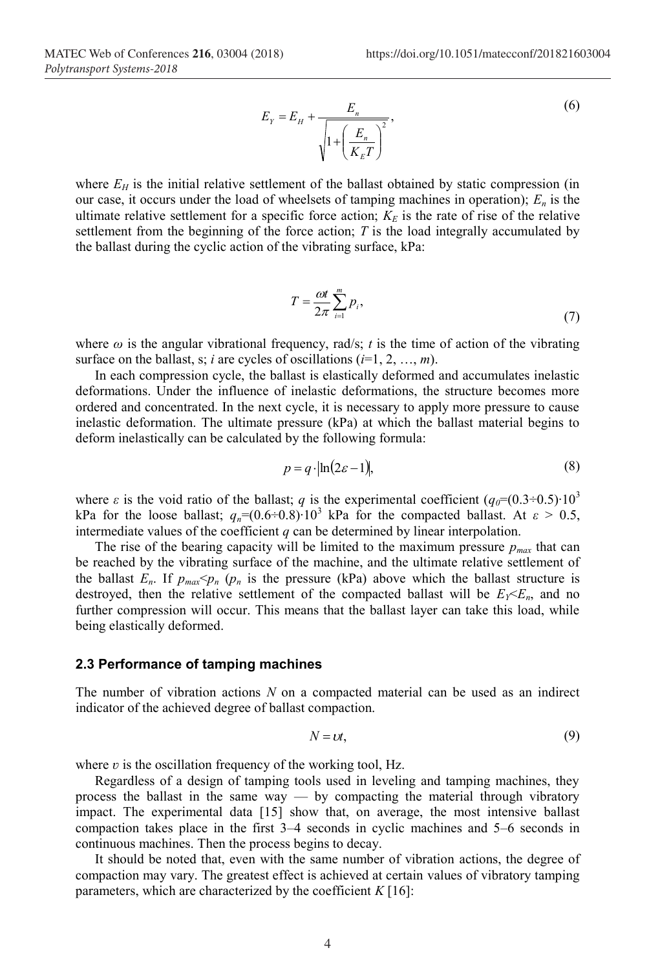$$
E_Y = E_H + \frac{E_n}{\sqrt{1 + \left(\frac{E_n}{K_E T}\right)^2}},\tag{6}
$$

where  $E_H$  is the initial relative settlement of the ballast obtained by static compression (in our case, it occurs under the load of wheelsets of tamping machines in operation);  $E_n$  is the ultimate relative settlement for a specific force action;  $K<sub>E</sub>$  is the rate of rise of the relative settlement from the beginning of the force action; *T* is the load integrally accumulated by the ballast during the cyclic action of the vibrating surface, kPa:

$$
T = \frac{\omega t}{2\pi} \sum_{i=1}^{m} p_i,
$$
\n(7)

where  $\omega$  is the angular vibrational frequency, rad/s; *t* is the time of action of the vibrating surface on the ballast, s; *i* are cycles of oscillations  $(i=1, 2, ..., m)$ .

In each compression cycle, the ballast is elastically deformed and accumulates inelastic deformations. Under the influence of inelastic deformations, the structure becomes more ordered and concentrated. In the next cycle, it is necessary to apply more pressure to cause inelastic deformation. The ultimate pressure (kPa) at which the ballast material begins to deform inelastically can be calculated by the following formula:

$$
p = q \cdot \ln(2\varepsilon - 1),\tag{8}
$$

where  $\varepsilon$  is the void ratio of the ballast; *q* is the experimental coefficient ( $q_0$ =(0.3÷0.5)⋅10<sup>3</sup> kPa for the loose ballast;  $q_n=(0.6\div0.8)\cdot10^3$  kPa for the compacted ballast. At  $\varepsilon > 0.5$ , intermediate values of the coefficient  $q$  can be determined by linear interpolation.

The rise of the bearing capacity will be limited to the maximum pressure  $p_{max}$  that can be reached by the vibrating surface of the machine, and the ultimate relative settlement of the ballast  $E_n$ . If  $p_{max} < p_n$  ( $p_n$  is the pressure (kPa) above which the ballast structure is destroyed, then the relative settlement of the compacted ballast will be  $E_Y \leq E_n$ , and no further compression will occur. This means that the ballast layer can take this load, while being elastically deformed.

#### **2.3 Performance of tamping machines**

The number of vibration actions *N* on a compacted material can be used as an indirect indicator of the achieved degree of ballast compaction.

$$
N = \mathcal{U},\tag{9}
$$

where  $v$  is the oscillation frequency of the working tool, Hz.

Regardless of a design of tamping tools used in leveling and tamping machines, they process the ballast in the same way — by compacting the material through vibratory impact. The experimental data [15] show that, on average, the most intensive ballast compaction takes place in the first 3–4 seconds in cyclic machines and 5–6 seconds in continuous machines. Then the process begins to decay.

It should be noted that, even with the same number of vibration actions, the degree of compaction may vary. The greatest effect is achieved at certain values of vibratory tamping parameters, which are characterized by the coefficient  $K[16]$ :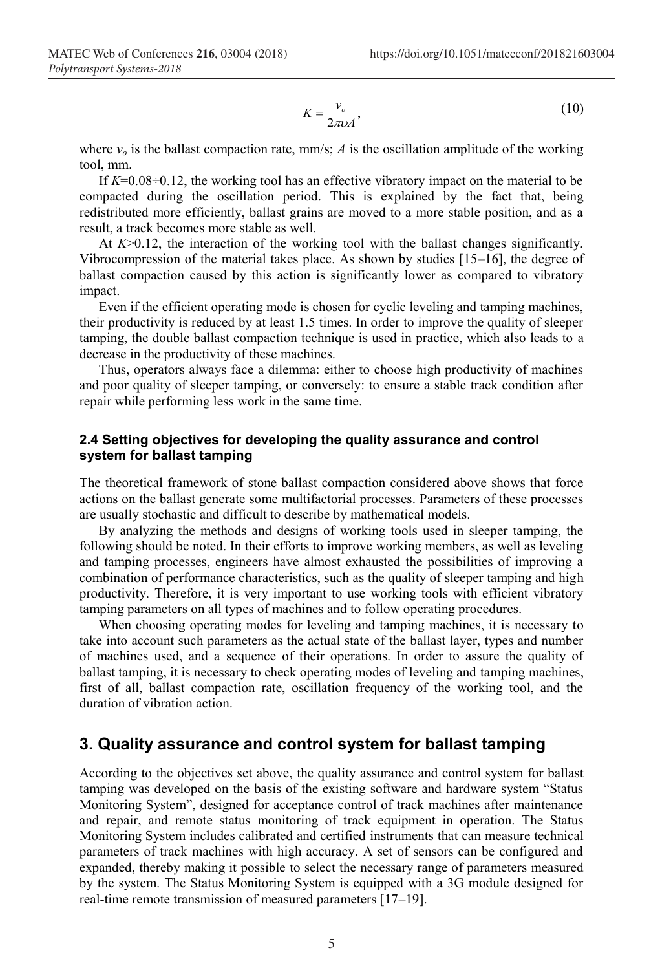$$
K = \frac{v_o}{2\pi\nu A},\tag{10}
$$

where  $v<sub>o</sub>$  is the ballast compaction rate, mm/s; *A* is the oscillation amplitude of the working tool, mm.

If *K*=0.08÷0.12, the working tool has an effective vibratory impact on the material to be compacted during the oscillation period. This is explained by the fact that, being redistributed more efficiently, ballast grains are moved to a more stable position, and as a result, a track becomes more stable as well.

At  $K > 0.12$ , the interaction of the working tool with the ballast changes significantly. Vibrocompression of the material takes place. As shown by studies [15–16], the degree of ballast compaction caused by this action is significantly lower as compared to vibratory impact.

Even if the efficient operating mode is chosen for cyclic leveling and tamping machines, their productivity is reduced by at least 1.5 times. In order to improve the quality of sleeper tamping, the double ballast compaction technique is used in practice, which also leads to a decrease in the productivity of these machines.

Thus, operators always face a dilemma: either to choose high productivity of machines and poor quality of sleeper tamping, or conversely: to ensure a stable track condition after repair while performing less work in the same time.

#### **2.4 Setting objectives for developing the quality assurance and control system for ballast tamping**

The theoretical framework of stone ballast compaction considered above shows that force actions on the ballast generate some multifactorial processes. Parameters of these processes are usually stochastic and difficult to describe by mathematical models.

By analyzing the methods and designs of working tools used in sleeper tamping, the following should be noted. In their efforts to improve working members, as well as leveling and tamping processes, engineers have almost exhausted the possibilities of improving a combination of performance characteristics, such as the quality of sleeper tamping and high productivity. Therefore, it is very important to use working tools with efficient vibratory tamping parameters on all types of machines and to follow operating procedures.

When choosing operating modes for leveling and tamping machines, it is necessary to take into account such parameters as the actual state of the ballast layer, types and number of machines used, and a sequence of their operations. In order to assure the quality of ballast tamping, it is necessary to check operating modes of leveling and tamping machines, first of all, ballast compaction rate, oscillation frequency of the working tool, and the duration of vibration action.

## **3. Quality assurance and control system for ballast tamping**

According to the objectives set above, the quality assurance and control system for ballast tamping was developed on the basis of the existing software and hardware system "Status Monitoring System", designed for acceptance control of track machines after maintenance and repair, and remote status monitoring of track equipment in operation. The Status Monitoring System includes calibrated and certified instruments that can measure technical parameters of track machines with high accuracy. A set of sensors can be configured and expanded, thereby making it possible to select the necessary range of parameters measured by the system. The Status Monitoring System is equipped with a 3G module designed for real-time remote transmission of measured parameters [17–19].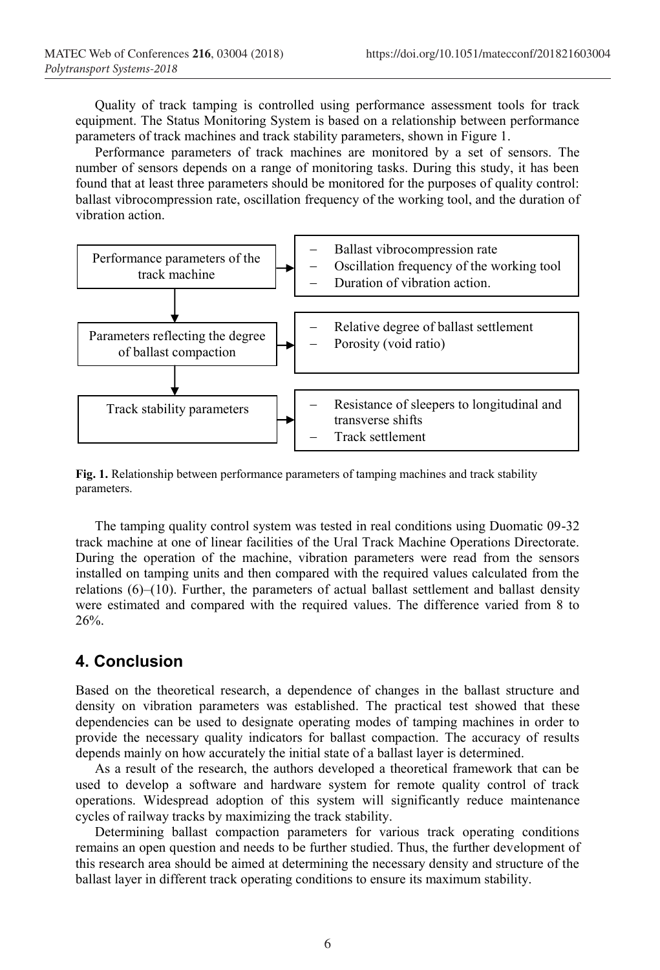Quality of track tamping is controlled using performance assessment tools for track equipment. The Status Monitoring System is based on a relationship between performance parameters of track machines and track stability parameters, shown in Figure 1.

Performance parameters of track machines are monitored by a set of sensors. The number of sensors depends on a range of monitoring tasks. During this study, it has been found that at least three parameters should be monitored for the purposes of quality control: ballast vibrocompression rate, oscillation frequency of the working tool, and the duration of vibration action.



**Fig. 1.** Relationship between performance parameters of tamping machines and track stability parameters.

The tamping quality control system was tested in real conditions using Duomatic 09-32 track machine at one of linear facilities of the Ural Track Machine Operations Directorate. During the operation of the machine, vibration parameters were read from the sensors installed on tamping units and then compared with the required values calculated from the relations  $(6)$ – $(10)$ . Further, the parameters of actual ballast settlement and ballast density were estimated and compared with the required values. The difference varied from 8 to 26%.

## **4. Conclusion**

Based on the theoretical research, a dependence of changes in the ballast structure and density on vibration parameters was established. The practical test showed that these dependencies can be used to designate operating modes of tamping machines in order to provide the necessary quality indicators for ballast compaction. The accuracy of results depends mainly on how accurately the initial state of a ballast layer is determined.

As a result of the research, the authors developed a theoretical framework that can be used to develop a software and hardware system for remote quality control of track operations. Widespread adoption of this system will significantly reduce maintenance cycles of railway tracks by maximizing the track stability.

Determining ballast compaction parameters for various track operating conditions remains an open question and needs to be further studied. Thus, the further development of this research area should be aimed at determining the necessary density and structure of the ballast layer in different track operating conditions to ensure its maximum stability.